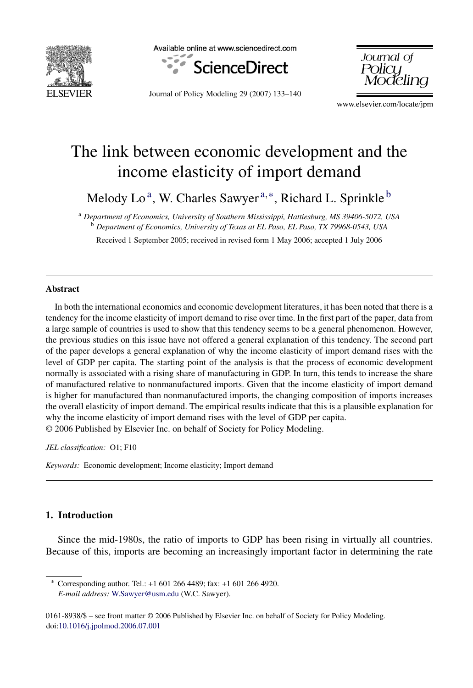

Available online at www.sciencedirect.com



Journal of Policy Modeling 29 (2007) 133–140

Journal of **Policu** 

www.elsevier.com/locate/jpm

## The link between economic development and the income elasticity of import demand

Melody Lo<sup>a</sup>, W. Charles Sawyer<sup>a,\*</sup>, Richard L. Sprinkle<sup>b</sup>

<sup>a</sup> *Department of Economics, University of Southern Mississippi, Hattiesburg, MS 39406-5072, USA* <sup>b</sup> *Department of Economics, University of Texas at EL Paso, EL Paso, TX 79968-0543, USA*

Received 1 September 2005; received in revised form 1 May 2006; accepted 1 July 2006

## **Abstract**

In both the international economics and economic development literatures, it has been noted that there is a tendency for the income elasticity of import demand to rise over time. In the first part of the paper, data from a large sample of countries is used to show that this tendency seems to be a general phenomenon. However, the previous studies on this issue have not offered a general explanation of this tendency. The second part of the paper develops a general explanation of why the income elasticity of import demand rises with the level of GDP per capita. The starting point of the analysis is that the process of economic development normally is associated with a rising share of manufacturing in GDP. In turn, this tends to increase the share of manufactured relative to nonmanufactured imports. Given that the income elasticity of import demand is higher for manufactured than nonmanufactured imports, the changing composition of imports increases the overall elasticity of import demand. The empirical results indicate that this is a plausible explanation for why the income elasticity of import demand rises with the level of GDP per capita. © 2006 Published by Elsevier Inc. on behalf of Society for Policy Modeling.

*JEL classification:* O1; F10

*Keywords:* Economic development; Income elasticity; Import demand

## **1. Introduction**

Since the mid-1980s, the ratio of imports to GDP has been rising in virtually all countries. Because of this, imports are becoming an increasingly important factor in determining the rate

∗ Corresponding author. Tel.: +1 601 266 4489; fax: +1 601 266 4920. *E-mail address:* [W.Sawyer@usm.edu](mailto:W.Sawyer@usm.edu) (W.C. Sawyer).

<sup>0161-8938/\$ –</sup> see front matter © 2006 Published by Elsevier Inc. on behalf of Society for Policy Modeling. doi[:10.1016/j.jpolmod.2006.07.001](dx.doi.org/10.1016/j.jpolmod.2006.07.001)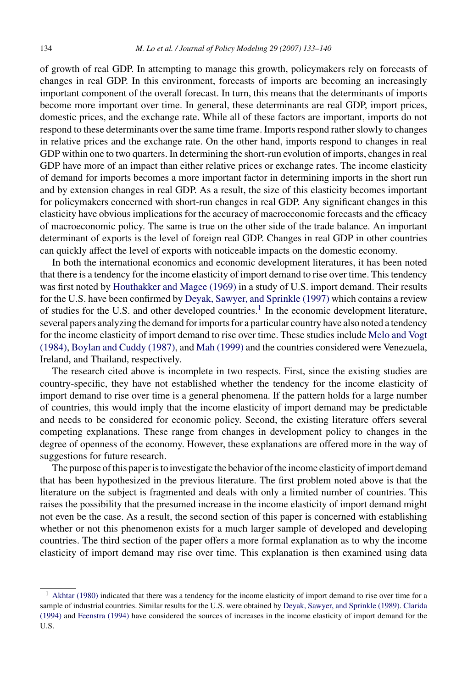of growth of real GDP. In attempting to manage this growth, policymakers rely on forecasts of changes in real GDP. In this environment, forecasts of imports are becoming an increasingly important component of the overall forecast. In turn, this means that the determinants of imports become more important over time. In general, these determinants are real GDP, import prices, domestic prices, and the exchange rate. While all of these factors are important, imports do not respond to these determinants over the same time frame. Imports respond rather slowly to changes in relative prices and the exchange rate. On the other hand, imports respond to changes in real GDP within one to two quarters. In determining the short-run evolution of imports, changes in real GDP have more of an impact than either relative prices or exchange rates. The income elasticity of demand for imports becomes a more important factor in determining imports in the short run and by extension changes in real GDP. As a result, the size of this elasticity becomes important for policymakers concerned with short-run changes in real GDP. Any significant changes in this elasticity have obvious implications for the accuracy of macroeconomic forecasts and the efficacy of macroeconomic policy. The same is true on the other side of the trade balance. An important determinant of exports is the level of foreign real GDP. Changes in real GDP in other countries can quickly affect the level of exports with noticeable impacts on the domestic economy.

In both the international economics and economic development literatures, it has been noted that there is a tendency for the income elasticity of import demand to rise over time. This tendency was first noted by [Houthakker and Magee \(1969\)](#page--1-0) in a study of U.S. import demand. Their results for the U.S. have been confirmed by [Deyak, Sawyer, and Sprinkle \(1997\)](#page--1-0) which contains a review of studies for the U.S. and other developed countries.<sup>1</sup> In the economic development literature, several papers analyzing the demand for imports for a particular country have also noted a tendency for the income elasticity of import demand to rise over time. These studies include [Melo and Vogt](#page--1-0) [\(1984\),](#page--1-0) [Boylan and Cuddy \(1987\), a](#page--1-0)nd [Mah \(1999\)](#page--1-0) and the countries considered were Venezuela, Ireland, and Thailand, respectively.

The research cited above is incomplete in two respects. First, since the existing studies are country-specific, they have not established whether the tendency for the income elasticity of import demand to rise over time is a general phenomena. If the pattern holds for a large number of countries, this would imply that the income elasticity of import demand may be predictable and needs to be considered for economic policy. Second, the existing literature offers several competing explanations. These range from changes in development policy to changes in the degree of openness of the economy. However, these explanations are offered more in the way of suggestions for future research.

The purpose of this paper is to investigate the behavior of the income elasticity of import demand that has been hypothesized in the previous literature. The first problem noted above is that the literature on the subject is fragmented and deals with only a limited number of countries. This raises the possibility that the presumed increase in the income elasticity of import demand might not even be the case. As a result, the second section of this paper is concerned with establishing whether or not this phenomenon exists for a much larger sample of developed and developing countries. The third section of the paper offers a more formal explanation as to why the income elasticity of import demand may rise over time. This explanation is then examined using data

 $<sup>1</sup>$  [Akhtar \(1980\)](#page--1-0) indicated that there was a tendency for the income elasticity of import demand to rise over time for a</sup> sample of industrial countries. Similar results for the U.S. were obtained by [Deyak, Sawyer, and Sprinkle \(1989\).](#page--1-0) [Clarida](#page--1-0) [\(1994\)](#page--1-0) and [Feenstra \(1994\)](#page--1-0) have considered the sources of increases in the income elasticity of import demand for the U.S.